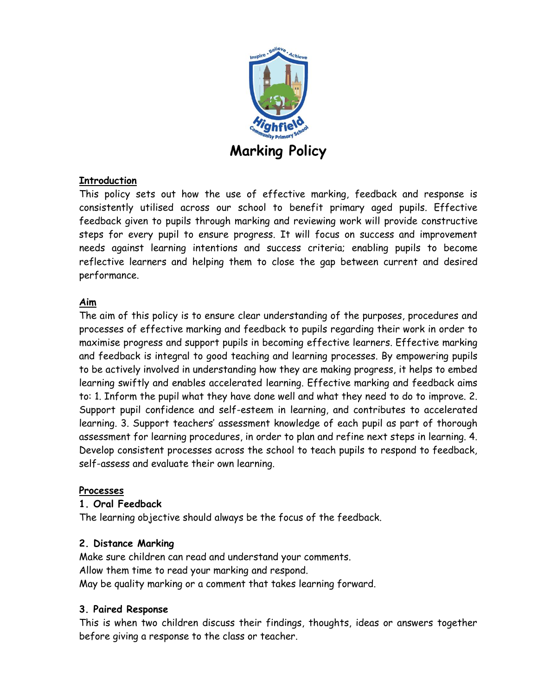

## **Introduction**

This policy sets out how the use of effective marking, feedback and response is consistently utilised across our school to benefit primary aged pupils. Effective feedback given to pupils through marking and reviewing work will provide constructive steps for every pupil to ensure progress. It will focus on success and improvement needs against learning intentions and success criteria; enabling pupils to become reflective learners and helping them to close the gap between current and desired performance.

# **Aim**

The aim of this policy is to ensure clear understanding of the purposes, procedures and processes of effective marking and feedback to pupils regarding their work in order to maximise progress and support pupils in becoming effective learners. Effective marking and feedback is integral to good teaching and learning processes. By empowering pupils to be actively involved in understanding how they are making progress, it helps to embed learning swiftly and enables accelerated learning. Effective marking and feedback aims to: 1. Inform the pupil what they have done well and what they need to do to improve. 2. Support pupil confidence and self-esteem in learning, and contributes to accelerated learning. 3. Support teachers' assessment knowledge of each pupil as part of thorough assessment for learning procedures, in order to plan and refine next steps in learning. 4. Develop consistent processes across the school to teach pupils to respond to feedback, self-assess and evaluate their own learning.

## **Processes**

#### **1. Oral Feedback**

The learning objective should always be the focus of the feedback.

#### **2. Distance Marking**

Make sure children can read and understand your comments. Allow them time to read your marking and respond. May be quality marking or a comment that takes learning forward.

#### **3. Paired Response**

This is when two children discuss their findings, thoughts, ideas or answers together before giving a response to the class or teacher.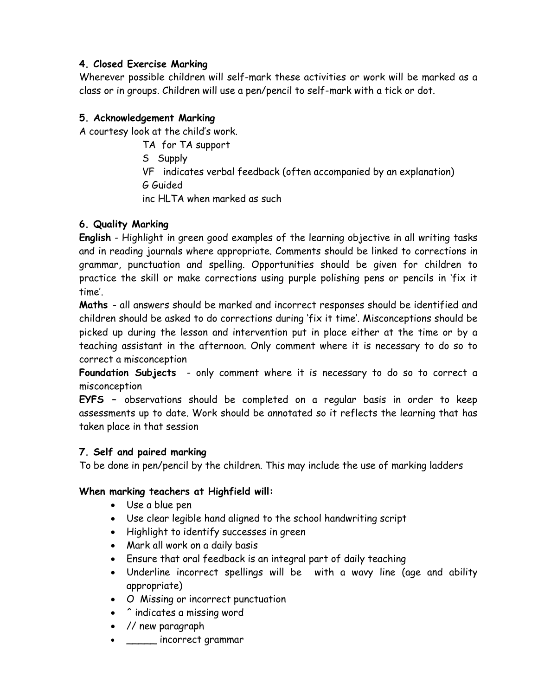# **4. Closed Exercise Marking**

Wherever possible children will self-mark these activities or work will be marked as a class or in groups. Children will use a pen/pencil to self-mark with a tick or dot.

# **5. Acknowledgement Marking**

A courtesy look at the child's work.

TA for TA support S Supply VF indicates verbal feedback (often accompanied by an explanation) G Guided inc HLTA when marked as such

# **6. Quality Marking**

**English** - Highlight in green good examples of the learning objective in all writing tasks and in reading journals where appropriate. Comments should be linked to corrections in grammar, punctuation and spelling. Opportunities should be given for children to practice the skill or make corrections using purple polishing pens or pencils in 'fix it time'.

**Maths** - all answers should be marked and incorrect responses should be identified and children should be asked to do corrections during 'fix it time'. Misconceptions should be picked up during the lesson and intervention put in place either at the time or by a teaching assistant in the afternoon. Only comment where it is necessary to do so to correct a misconception

**Foundation Subjects** - only comment where it is necessary to do so to correct a misconception

**EYFS –** observations should be completed on a regular basis in order to keep assessments up to date. Work should be annotated so it reflects the learning that has taken place in that session

## **7. Self and paired marking**

To be done in pen/pencil by the children. This may include the use of marking ladders

# **When marking teachers at Highfield will:**

- Use a blue pen
- Use clear legible hand aligned to the school handwriting script
- Highlight to identify successes in green
- Mark all work on a daily basis
- Ensure that oral feedback is an integral part of daily teaching
- Underline incorrect spellings will be with a wavy line (age and ability appropriate)
- O Missing or incorrect punctuation
- ^ indicates a missing word
- // new paragraph
- \_\_\_\_\_ incorrect grammar